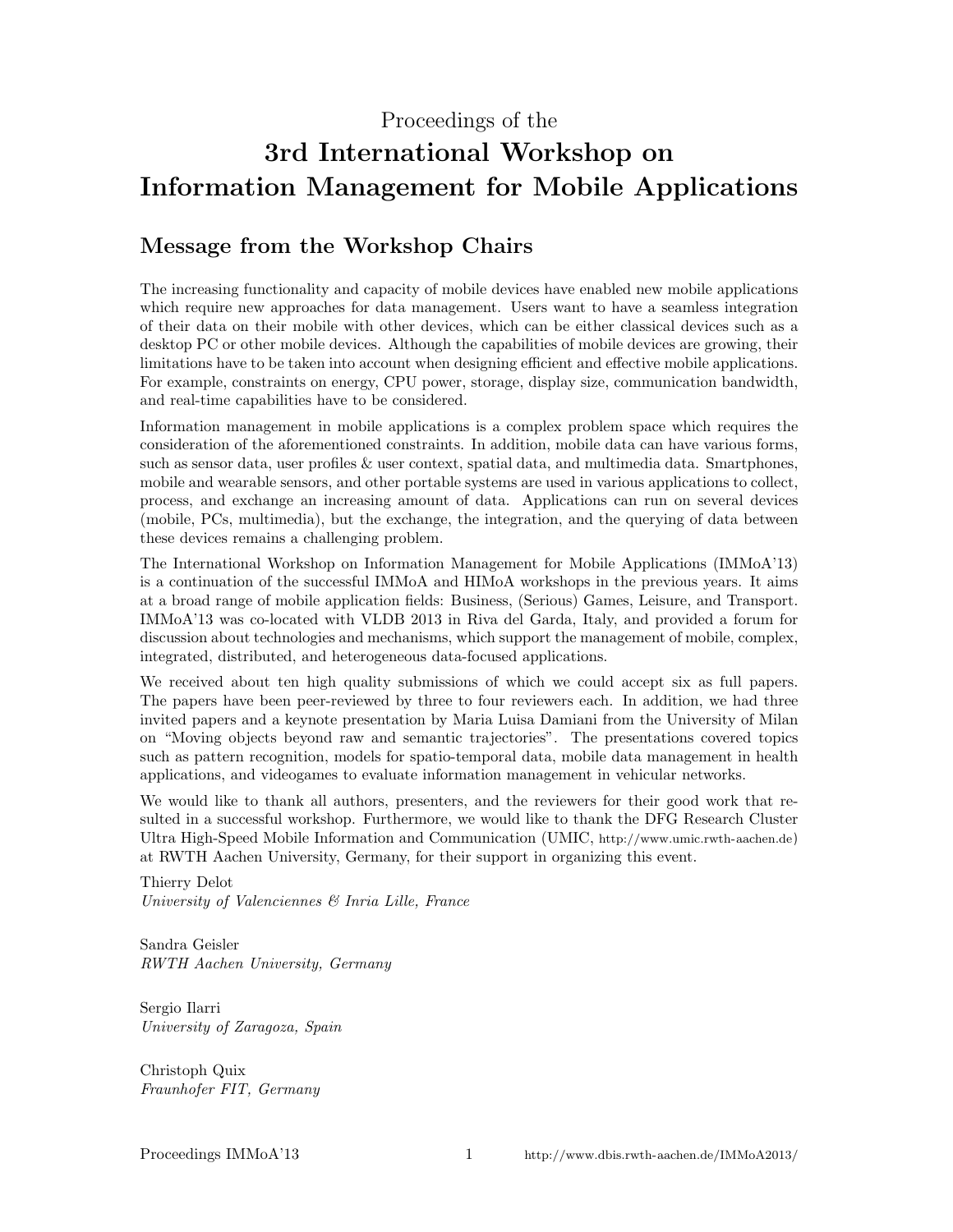### Proceedings of the

# 3rd International Workshop on Information Management for Mobile Applications

### Message from the Workshop Chairs

The increasing functionality and capacity of mobile devices have enabled new mobile applications which require new approaches for data management. Users want to have a seamless integration of their data on their mobile with other devices, which can be either classical devices such as a desktop PC or other mobile devices. Although the capabilities of mobile devices are growing, their limitations have to be taken into account when designing efficient and effective mobile applications. For example, constraints on energy, CPU power, storage, display size, communication bandwidth, and real-time capabilities have to be considered.

Information management in mobile applications is a complex problem space which requires the consideration of the aforementioned constraints. In addition, mobile data can have various forms, such as sensor data, user profiles & user context, spatial data, and multimedia data. Smartphones, mobile and wearable sensors, and other portable systems are used in various applications to collect, process, and exchange an increasing amount of data. Applications can run on several devices (mobile, PCs, multimedia), but the exchange, the integration, and the querying of data between these devices remains a challenging problem.

The International Workshop on Information Management for Mobile Applications (IMMoA'13) is a continuation of the successful IMMoA and HIMoA workshops in the previous years. It aims at a broad range of mobile application fields: Business, (Serious) Games, Leisure, and Transport. IMMoA'13 was co-located with VLDB 2013 in Riva del Garda, Italy, and provided a forum for discussion about technologies and mechanisms, which support the management of mobile, complex, integrated, distributed, and heterogeneous data-focused applications.

We received about ten high quality submissions of which we could accept six as full papers. The papers have been peer-reviewed by three to four reviewers each. In addition, we had three invited papers and a keynote presentation by Maria Luisa Damiani from the University of Milan on "Moving objects beyond raw and semantic trajectories". The presentations covered topics such as pattern recognition, models for spatio-temporal data, mobile data management in health applications, and videogames to evaluate information management in vehicular networks.

We would like to thank all authors, presenters, and the reviewers for their good work that resulted in a successful workshop. Furthermore, we would like to thank the DFG Research Cluster Ultra High-Speed Mobile Information and Communication (UMIC, <http://www.umic.rwth-aachen.de>) at RWTH Aachen University, Germany, for their support in organizing this event.

Thierry Delot University of Valenciennes & Inria Lille, France

Sandra Geisler RWTH Aachen University, Germany

Sergio Ilarri University of Zaragoza, Spain

Christoph Quix Fraunhofer FIT, Germany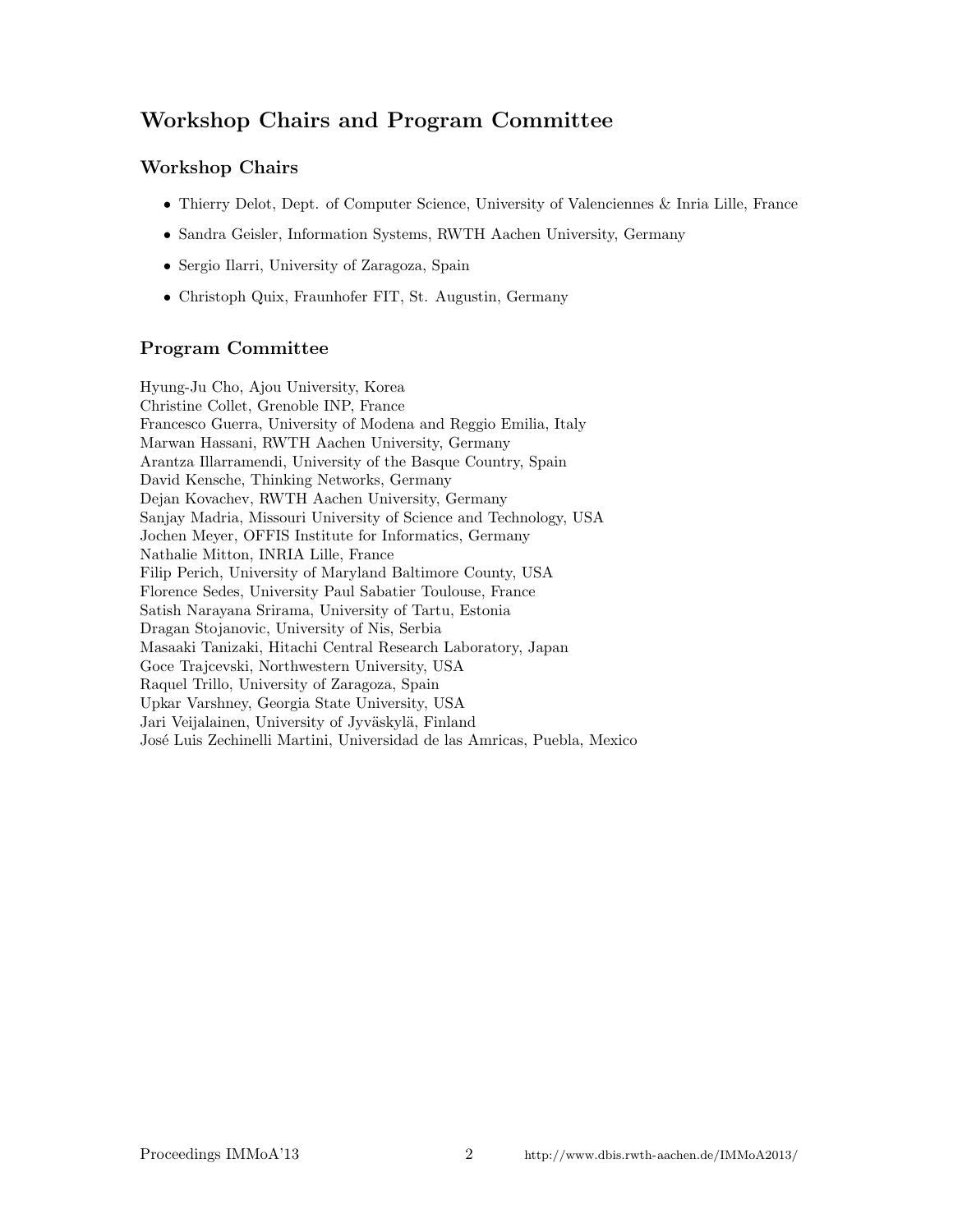# Workshop Chairs and Program Committee

### Workshop Chairs

- Thierry Delot, Dept. of Computer Science, University of Valenciennes & Inria Lille, France
- Sandra Geisler, Information Systems, RWTH Aachen University, Germany
- Sergio Ilarri, University of Zaragoza, Spain
- Christoph Quix, Fraunhofer FIT, St. Augustin, Germany

### Program Committee

Hyung-Ju Cho, Ajou University, Korea Christine Collet, Grenoble INP, France Francesco Guerra, University of Modena and Reggio Emilia, Italy Marwan Hassani, RWTH Aachen University, Germany Arantza Illarramendi, University of the Basque Country, Spain David Kensche, Thinking Networks, Germany Dejan Kovachev, RWTH Aachen University, Germany Sanjay Madria, Missouri University of Science and Technology, USA Jochen Meyer, OFFIS Institute for Informatics, Germany Nathalie Mitton, INRIA Lille, France Filip Perich, University of Maryland Baltimore County, USA Florence Sedes, University Paul Sabatier Toulouse, France Satish Narayana Srirama, University of Tartu, Estonia Dragan Stojanovic, University of Nis, Serbia Masaaki Tanizaki, Hitachi Central Research Laboratory, Japan Goce Trajcevski, Northwestern University, USA Raquel Trillo, University of Zaragoza, Spain Upkar Varshney, Georgia State University, USA Jari Veijalainen, University of Jyväskylä, Finland José Luis Zechinelli Martini, Universidad de las Amricas, Puebla, Mexico